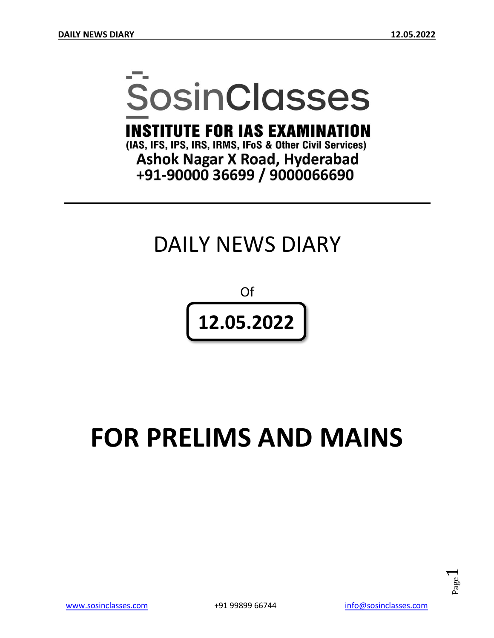# **SosinClasses**

**INSTITUTE FOR IAS EXAMINATION** 

(IAS, IFS, IPS, IRS, IRMS, IFoS & Other Civil Services) **Ashok Nagar X Road, Hyderabad** +91-90000 36699 / 9000066690

# DAILY NEWS DIARY

Of **12.05.2022**

# **FOR PRELIMS AND MAINS**

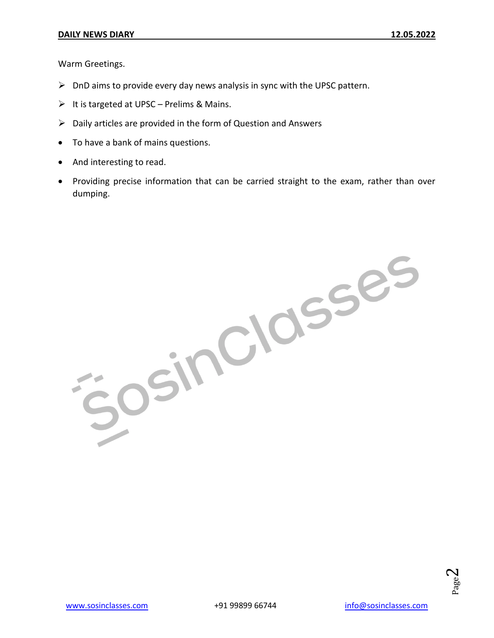Warm Greetings.

- $\triangleright$  DnD aims to provide every day news analysis in sync with the UPSC pattern.
- $\triangleright$  It is targeted at UPSC Prelims & Mains.
- $\triangleright$  Daily articles are provided in the form of Question and Answers
- To have a bank of mains questions.
- And interesting to read.
- Providing precise information that can be carried straight to the exam, rather than over dumping.

josinciasses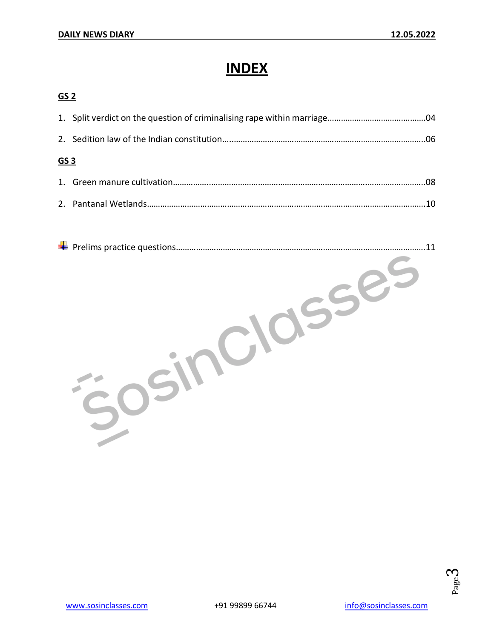## **INDEX**

#### **GS 2**

| GS 3 |  |  |
|------|--|--|
|      |  |  |
|      |  |  |

| 11 |
|----|
|    |
|    |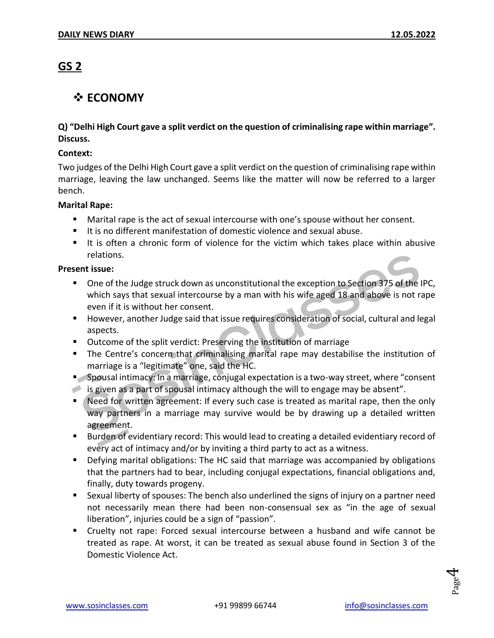#### **GS 2**

#### **☆ ECONOMY**

#### **Q) "Delhi High Court gave a split verdict on the question of criminalising rape within marriage". Discuss.**

#### **Context:**

Two judges of the Delhi High Court gave a split verdict on the question of criminalising rape within marriage, leaving the law unchanged. Seems like the matter will now be referred to a larger bench.

#### **Marital Rape:**

- Marital rape is the act of sexual intercourse with one's spouse without her consent.
- It is no different manifestation of domestic violence and sexual abuse.
- It is often a chronic form of violence for the victim which takes place within abusive relations.

#### **Present issue:**

- One of the Judge struck down as unconstitutional the exception to Section 375 of the IPC, which says that sexual intercourse by a man with his wife aged 18 and above is not rape even if it is without her consent.
- **However, another Judge said that issue requires consideration of social, cultural and legal** aspects.
- Outcome of the split verdict: Preserving the institution of marriage
- **The Centre's concern that criminalising marital rape may destabilise the institution of** marriage is a "legitimate" one, said the HC.
- Spousal intimacy: In a marriage, conjugal expectation is a two-way street, where "consent is given as a part of spousal intimacy although the will to engage may be absent".
- Need for written agreement: If every such case is treated as marital rape, then the only way partners in a marriage may survive would be by drawing up a detailed written agreement.
- **Burden of evidentiary record: This would lead to creating a detailed evidentiary record of** every act of intimacy and/or by inviting a third party to act as a witness.
- Defying marital obligations: The HC said that marriage was accompanied by obligations that the partners had to bear, including conjugal expectations, financial obligations and, finally, duty towards progeny.
- Sexual liberty of spouses: The bench also underlined the signs of injury on a partner need not necessarily mean there had been non-consensual sex as "in the age of sexual liberation", injuries could be a sign of "passion".
- Cruelty not rape: Forced sexual intercourse between a husband and wife cannot be treated as rape. At worst, it can be treated as sexual abuse found in Section 3 of the Domestic Violence Act.

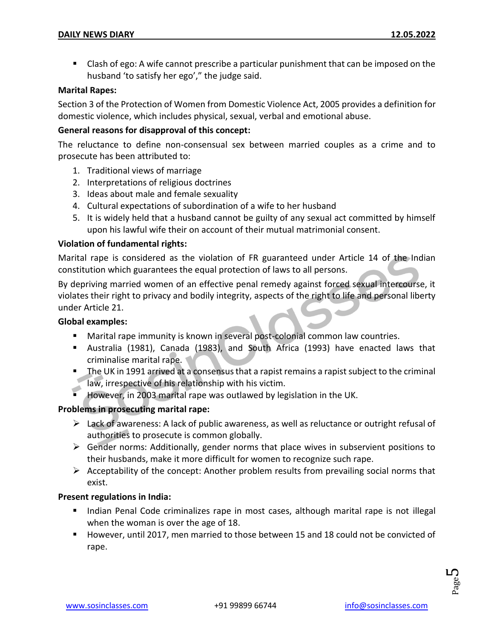Clash of ego: A wife cannot prescribe a particular punishment that can be imposed on the husband 'to satisfy her ego'," the judge said.

#### **Marital Rapes:**

Section 3 of the Protection of Women from Domestic Violence Act, 2005 provides a definition for domestic violence, which includes physical, sexual, verbal and emotional abuse.

#### **General reasons for disapproval of this concept:**

The reluctance to define non-consensual sex between married couples as a crime and to prosecute has been attributed to:

- 1. Traditional views of marriage
- 2. Interpretations of religious doctrines
- 3. Ideas about male and female sexuality
- 4. Cultural expectations of subordination of a wife to her husband
- 5. It is widely held that a husband cannot be guilty of any sexual act committed by himself upon his lawful wife their on account of their mutual matrimonial consent.

#### **Violation of fundamental rights:**

Marital rape is considered as the violation of FR guaranteed under Article 14 of the Indian constitution which guarantees the equal protection of laws to all persons.

By depriving married women of an effective penal remedy against forced sexual intercourse, it violates their right to privacy and bodily integrity, aspects of the right to life and personal liberty under Article 21.

#### **Global examples:**

- Marital rape immunity is known in several post-colonial common law countries.
- Australia (1981), Canada (1983), and South Africa (1993) have enacted laws that criminalise marital rape.
- The UK in 1991 arrived at a consensus that a rapist remains a rapist subject to the criminal law, irrespective of his relationship with his victim.
- However, in 2003 marital rape was outlawed by legislation in the UK.

#### **Problems in prosecuting marital rape:**

- $\triangleright$  Lack of awareness: A lack of public awareness, as well as reluctance or outright refusal of authorities to prosecute is common globally.
- $\triangleright$  Gender norms: Additionally, gender norms that place wives in subservient positions to their husbands, make it more difficult for women to recognize such rape.
- $\triangleright$  Acceptability of the concept: Another problem results from prevailing social norms that exist.

#### **Present regulations in India:**

- Indian Penal Code criminalizes rape in most cases, although marital rape is not illegal when the woman is over the age of 18.
- However, until 2017, men married to those between 15 and 18 could not be convicted of rape.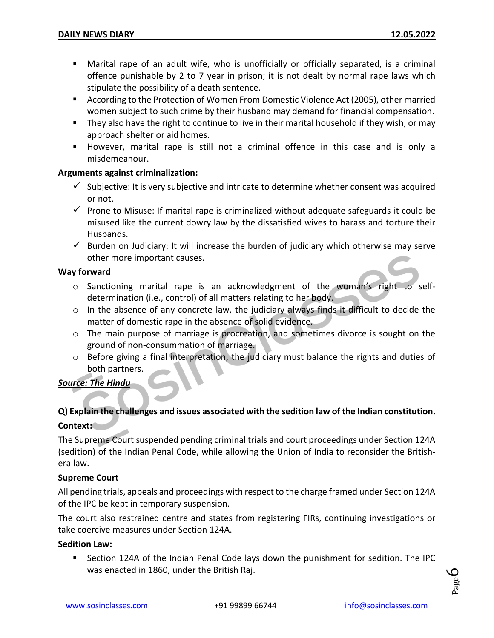- Marital rape of an adult wife, who is unofficially or officially separated, is a criminal offence punishable by 2 to 7 year in prison; it is not dealt by normal rape laws which stipulate the possibility of a death sentence.
- According to the Protection of Women From Domestic Violence Act (2005), other married women subject to such crime by their husband may demand for financial compensation.
- They also have the right to continue to live in their marital household if they wish, or may approach shelter or aid homes.
- However, marital rape is still not a criminal offence in this case and is only a misdemeanour.

#### **Arguments against criminalization:**

- $\checkmark$  Subjective: It is very subjective and intricate to determine whether consent was acquired or not.
- $\checkmark$  Prone to Misuse: If marital rape is criminalized without adequate safeguards it could be misused like the current dowry law by the dissatisfied wives to harass and torture their Husbands.
- $\checkmark$  Burden on Judiciary: It will increase the burden of judiciary which otherwise may serve other more important causes.

#### **Way forward**

- o Sanctioning marital rape is an acknowledgment of the woman's right to selfdetermination (i.e., control) of all matters relating to her body.
- o In the absence of any concrete law, the judiciary always finds it difficult to decide the matter of domestic rape in the absence of solid evidence.
- $\circ$  The main purpose of marriage is procreation, and sometimes divorce is sought on the ground of non-consummation of marriage.
- o Before giving a final interpretation, the judiciary must balance the rights and duties of both partners.

#### *Source: The Hindu*

#### **Q) Explain the challenges and issues associated with the sedition law of the Indian constitution. Context:**

The Supreme Court suspended pending criminal trials and court proceedings under Section 124A (sedition) of the Indian Penal Code, while allowing the Union of India to reconsider the Britishera law.

#### **Supreme Court**

All pending trials, appeals and proceedings with respect to the charge framed under Section 124A of the IPC be kept in temporary suspension.

The court also restrained centre and states from registering FIRs, continuing investigations or take coercive measures under Section 124A.

#### **Sedition Law:**

 Section 124A of the Indian Penal Code lays down the punishment for sedition. The IPC was enacted in 1860, under the British Raj.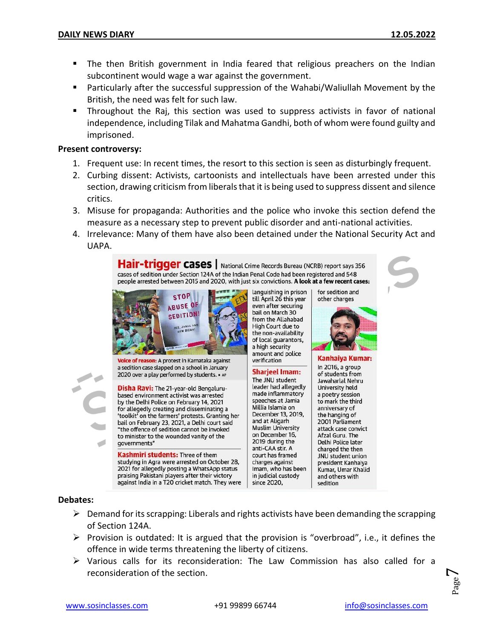- The then British government in India feared that religious preachers on the Indian subcontinent would wage a war against the government.
- Particularly after the successful suppression of the Wahabi/Waliullah Movement by the British, the need was felt for such law.
- Throughout the Raj, this section was used to suppress activists in favor of national independence, including Tilak and Mahatma Gandhi, both of whom were found guilty and imprisoned.

#### **Present controversy:**

- 1. Frequent use: In recent times, the resort to this section is seen as disturbingly frequent.
- 2. Curbing dissent: Activists, cartoonists and intellectuals have been arrested under this section, drawing criticism from liberals that it is being used to suppress dissent and silence critics.
- 3. Misuse for propaganda: Authorities and the police who invoke this section defend the measure as a necessary step to prevent public disorder and anti-national activities.
- 4. Irrelevance: Many of them have also been detained under the National Security Act and UAPA.

Hair-trigger cases | National Crime Records Bureau (NCRB) report says 356 cases of sedition under Section 124A of the Indian Penal Code had been registered and 548 people arrested between 2015 and 2020, with just six convictions. A look at a few recent cases:



Voice of reason: A protest in Karnataka against a sedition case slapped on a school in January 2020 over a play performed by students. . AP

**Disha Ravi:** The 21-year-old Bengalurubased environment activist was arrested by the Delhi Police on February 14, 2021 for allegedly creating and disseminating a 'toolkit' on the farmers' protests. Granting her bail on February 23, 2021, a Delhi court said "the offence of sedition cannot be invoked to minister to the wounded vanity of the governments"

Kashmiri students: Three of them studying in Agra were arrested on October 28, 2021 for allegedly posting a WhatsApp status praising Pakistani players after their victory against India in a T20 cricket match. They were languishing in prison till April 26 this year even after securing bail on March 30 from the Allahabad High Court due to the non-availability of local guarantors, a high security amount and police verification

**Sharjeel Imam:** The JNU student leader had allegedly made inflammatory speeches at Jamia Millia Islamia on December 13, 2019, and at Aligarh **Muslim University** on December 16, 2019 during the anti-CAA stir. A court has framed charges against Imam, who has been in judicial custody since 2020,

for sedition and other charges

Kanhaiya Kumar: In 2016, a group of students from Jawaharlal Nehru University held a poetry session to mark the third anniversary of the hanging of 2001 Parliament attack case convict Afzal Guru. The Delhi Police later charged the then JNU student union president Kanhaiva Kumar, Umar Khalid and others with sedition

#### **Debates:**

- $\triangleright$  Demand for its scrapping: Liberals and rights activists have been demanding the scrapping of Section 124A.
- $\triangleright$  Provision is outdated: It is argued that the provision is "overbroad", i.e., it defines the offence in wide terms threatening the liberty of citizens.
- $\triangleright$  Various calls for its reconsideration: The Law Commission has also called for a reconsideration of the section.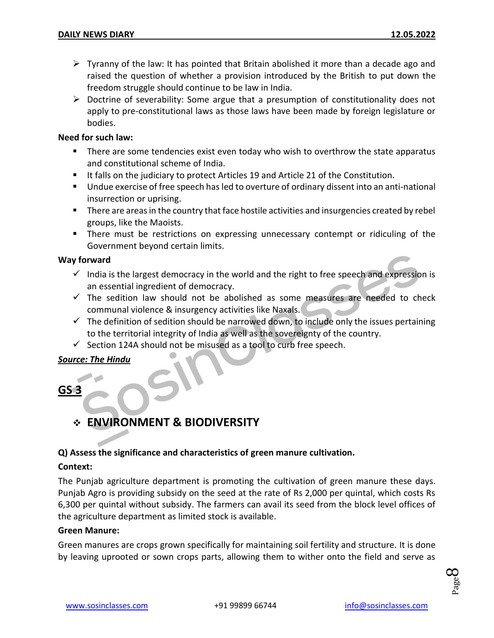- $\triangleright$  Tyranny of the law: It has pointed that Britain abolished it more than a decade ago and raised the question of whether a provision introduced by the British to put down the freedom struggle should continue to be law in India.
- $\triangleright$  Doctrine of severability: Some argue that a presumption of constitutionality does not apply to pre-constitutional laws as those laws have been made by foreign legislature or bodies.

#### **Need for such law:**

- There are some tendencies exist even today who wish to overthrow the state apparatus and constitutional scheme of India.
- If falls on the judiciary to protect Articles 19 and Article 21 of the Constitution.
- Undue exercise of free speech has led to overture of ordinary dissent into an anti-national insurrection or uprising.
- **There are areas in the country that face hostile activities and insurgencies created by rebel** groups, like the Maoists.
- **There must be restrictions on expressing unnecessary contempt or ridiculing of the** Government beyond certain limits.

#### **Way forward**

- $\checkmark$  India is the largest democracy in the world and the right to free speech and expression is an essential ingredient of democracy.
- $\checkmark$  The sedition law should not be abolished as some measures are needed to check communal violence & insurgency activities like Naxals.
- $\checkmark$  The definition of sedition should be narrowed down, to include only the issues pertaining to the territorial integrity of India as well as the sovereignty of the country.
- $\checkmark$  Section 124A should not be misused as a tool to curb free speech.

#### *Source: The Hindu*

#### **GS 3**

#### **ENVIRONMENT & BIODIVERSITY**

#### **Q) Assess the significance and characteristics of green manure cultivation.**

#### **Context:**

The Punjab agriculture department is promoting the cultivation of green manure these days. Punjab Agro is providing subsidy on the seed at the rate of Rs 2,000 per quintal, which costs Rs 6,300 per quintal without subsidy. The farmers can avail its seed from the block level offices of the agriculture department as limited stock is available.

#### **Green Manure:**

Green manures are crops grown specifically for maintaining soil fertility and structure. It is done by leaving uprooted or sown crops parts, allowing them to wither onto the field and serve as

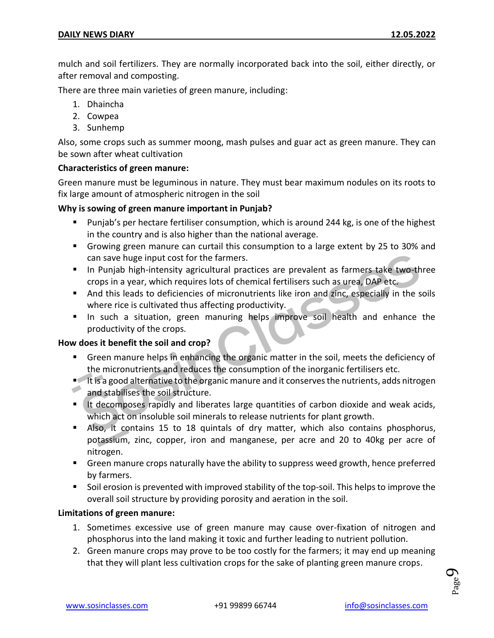mulch and soil fertilizers. They are normally incorporated back into the soil, either directly, or after removal and composting.

There are three main varieties of green manure, including:

- 1. Dhaincha
- 2. Cowpea
- 3. Sunhemp

Also, some crops such as summer moong, mash pulses and guar act as green manure. They can be sown after wheat cultivation

#### **Characteristics of green manure:**

Green manure must be leguminous in nature. They must bear maximum nodules on its roots to fix large amount of atmospheric nitrogen in the soil

#### **Why is sowing of green manure important in Punjab?**

- Punjab's per hectare fertiliser consumption, which is around 244 kg, is one of the highest in the country and is also higher than the national average.
- Growing green manure can curtail this consumption to a large extent by 25 to 30% and can save huge input cost for the farmers.
- In Punjab high-intensity agricultural practices are prevalent as farmers take two-three crops in a year, which requires lots of chemical fertilisers such as urea, DAP etc.
- And this leads to deficiencies of micronutrients like iron and zinc, especially in the soils where rice is cultivated thus affecting productivity.
- **In such a situation, green manuring helps improve soil health and enhance the** productivity of the crops.

#### **How does it benefit the soil and crop?**

- **Green manure helps in enhancing the organic matter in the soil, meets the deficiency of** the micronutrients and reduces the consumption of the inorganic fertilisers etc.
- It is a good alternative to the organic manure and it conserves the nutrients, adds nitrogen and stabilises the soil structure.
- If decomposes rapidly and liberates large quantities of carbon dioxide and weak acids, which act on insoluble soil minerals to release nutrients for plant growth.
- Also, it contains 15 to 18 quintals of dry matter, which also contains phosphorus, potassium, zinc, copper, iron and manganese, per acre and 20 to 40kg per acre of nitrogen.
- **F** Green manure crops naturally have the ability to suppress weed growth, hence preferred by farmers.
- Soil erosion is prevented with improved stability of the top-soil. This helps to improve the overall soil structure by providing porosity and aeration in the soil.

#### **Limitations of green manure:**

- 1. Sometimes excessive use of green manure may cause over-fixation of nitrogen and phosphorus into the land making it toxic and further leading to nutrient pollution.
- 2. Green manure crops may prove to be too costly for the farmers; it may end up meaning that they will plant less cultivation crops for the sake of planting green manure crops.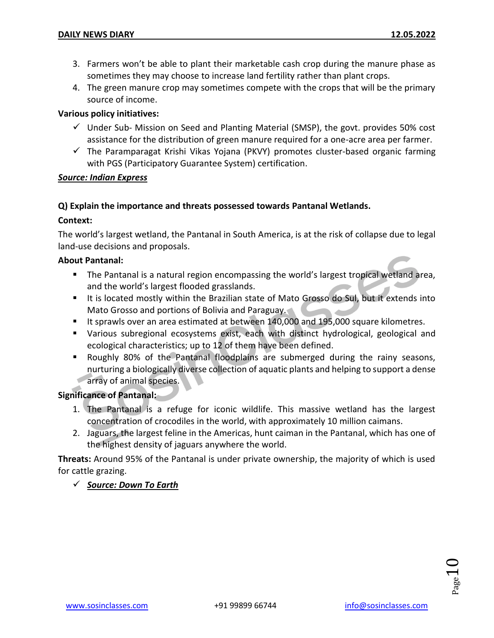- 3. Farmers won't be able to plant their marketable cash crop during the manure phase as sometimes they may choose to increase land fertility rather than plant crops.
- 4. The green manure crop may sometimes compete with the crops that will be the primary source of income.

#### **Various policy initiatives:**

- $\checkmark$  Under Sub- Mission on Seed and Planting Material (SMSP), the govt. provides 50% cost assistance for the distribution of green manure required for a one-acre area per farmer.
- $\checkmark$  The Paramparagat Krishi Vikas Yojana (PKVY) promotes cluster-based organic farming with PGS (Participatory Guarantee System) certification.

#### *Source: Indian Express*

#### **Q) Explain the importance and threats possessed towards Pantanal Wetlands.**

#### **Context:**

The world's largest wetland, the Pantanal in South America, is at the risk of collapse due to legal land-use decisions and proposals.

#### **About Pantanal:**

- The Pantanal is a natural region encompassing the world's largest tropical wetland area, and the world's largest flooded grasslands.
- It is located mostly within the Brazilian state of Mato Grosso do Sul, but it extends into Mato Grosso and portions of Bolivia and Paraguay.
- It sprawls over an area estimated at between 140,000 and 195,000 square kilometres.
- Various subregional ecosystems exist, each with distinct hydrological, geological and ecological characteristics; up to 12 of them have been defined.
- Roughly 80% of the Pantanal floodplains are submerged during the rainy seasons, nurturing a biologically diverse collection of aquatic plants and helping to support a dense array of animal species.

#### **Significance of Pantanal:**

- 1. The Pantanal is a refuge for iconic wildlife. This massive wetland has the largest concentration of crocodiles in the world, with approximately 10 million caimans.
- 2. Jaguars, the largest feline in the Americas, hunt caiman in the Pantanal, which has one of the highest density of jaguars anywhere the world.

**Threats:** Around 95% of the Pantanal is under private ownership, the majority of which is used for cattle grazing.

#### *Source: Down To Earth*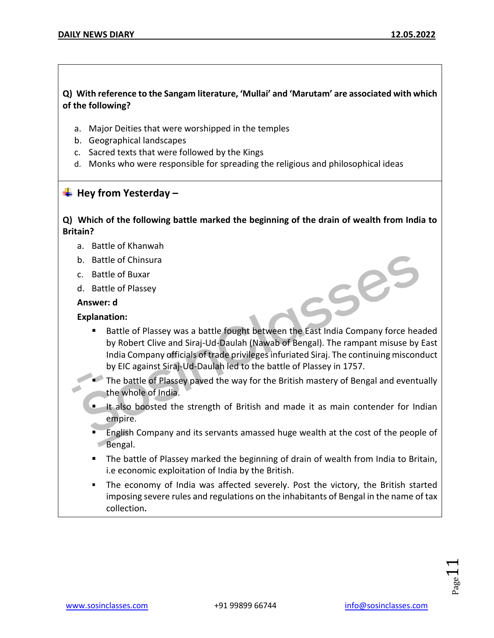#### **Q) With reference to the Sangam literature, 'Mullai' and 'Marutam' are associated with which of the following?**

- a. Major Deities that were worshipped in the temples
- b. Geographical landscapes
- c. Sacred texts that were followed by the Kings
- d. Monks who were responsible for spreading the religious and philosophical ideas

#### **Hey from Yesterday –**

#### **Q) Which of the following battle marked the beginning of the drain of wealth from India to Britain?**

- a. Battle of Khanwah
- b. Battle of Chinsura
- c. Battle of Buxar
- d. Battle of Plassey

#### **Answer: d**

#### **Explanation:**

- Battle of Plassey was a battle fought between the East India Company force headed by Robert Clive and Siraj-Ud-Daulah (Nawab of Bengal). The rampant misuse by East India Company officials of trade privileges infuriated Siraj. The continuing misconduct by EIC against Siraj-Ud-Daulah led to the battle of Plassey in 1757.
- The battle of Plassey paved the way for the British mastery of Bengal and eventually the whole of India.
- If also boosted the strength of British and made it as main contender for Indian empire.
- English Company and its servants amassed huge wealth at the cost of the people of Bengal.
- The battle of Plassey marked the beginning of drain of wealth from India to Britain, i.e economic exploitation of India by the British.
- The economy of India was affected severely. Post the victory, the British started imposing severe rules and regulations on the inhabitants of Bengal in the name of tax collection**.**